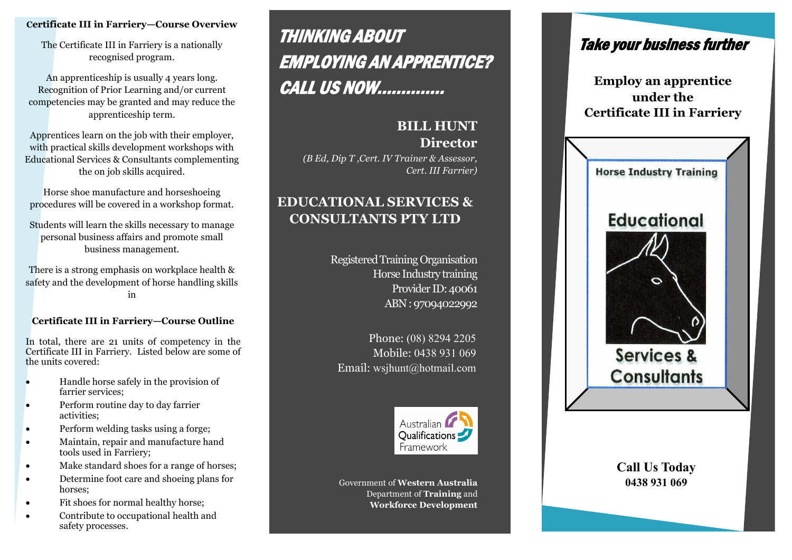## **Certificate III in Farriery—Course Overview**

The Certificate III in Farriery is a nationally recognised program.

An apprenticeship is usually 4 years long. Recognition of Prior Learning and/or current competencies may be granted and may reduce the apprenticeship term.

Apprentices learn on the job with their employer, with practical skills development workshops with Educational Services & Consultants complementing the on job skills acquired.

Horse shoe manufacture and horseshoeing procedures will be covered in a workshop format.

Students will learn the skills necessary to manage personal business affairs and promote small business management.

There is a strong emphasis on workplace health & safety and the development of horse handling skills in

# **Certificate III in Farriery—Course Outline**

In total, there are 21 units of competency in the Certificate III in Farriery. Listed below are some of the units covered:

- Handle horse safely in the provision of farrier services;
- Perform routine day to day farrier activities;
- Perform welding tasks using a forge;
- Maintain, repair and manufacture hand tools used in Farriery;
- Make standard shoes for a range of horses;
- Determine foot care and shoeing plans for horses;
- Fit shoes for normal healthy horse;
- Contribute to occupational health and safety processes.

# THINKING ABOUT EMPLOYING AN APPRENTICE? CALL US NOW…………..

# **BILL HUNT Director**

*(B Ed, Dip T ,Cert. IV Trainer & Assessor, Cert. III Farrier)*

# **EDUCATIONAL SERVICES & CONSULTANTS PTY LTD**

Registered Training Organisation Horse Industry training Provider ID: 40061 ABN : 97094022992

Phone: (08) 8294 2205 Mobile: 0438 931 069 Email: wsjhunt@hotmail.com



Government of **Western Australia**  Department of **Training** and **Workforce Development**



**Employ an apprentice under the Certificate III in Farriery**



**Call Us Today 0438 931 069**